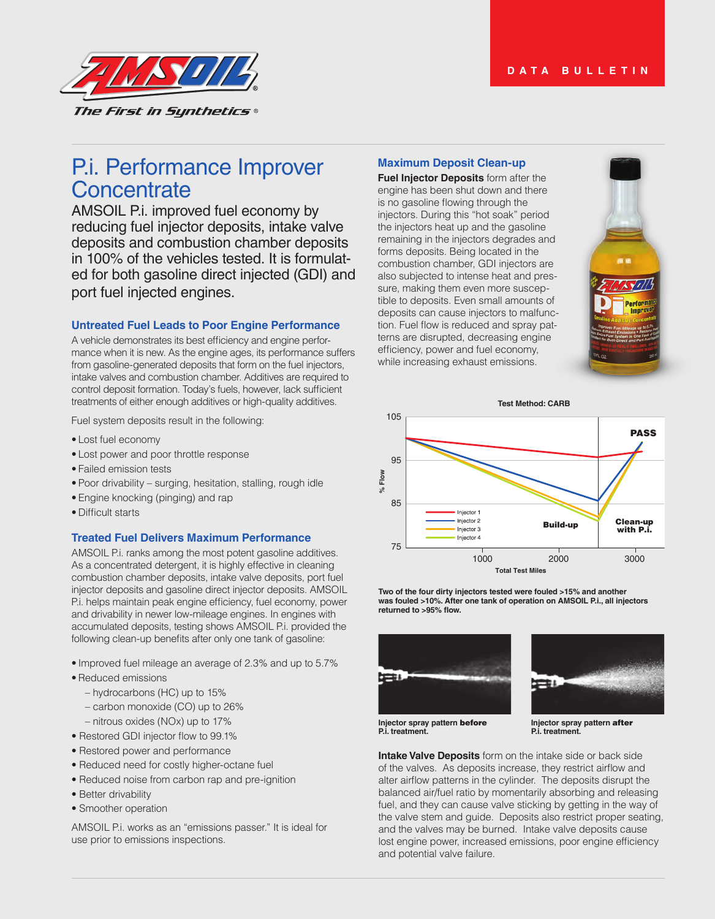

# P.i. Performance Improver **Concentrate**

AMSOIL P.i. improved fuel economy by reducing fuel injector deposits, intake valve deposits and combustion chamber deposits in 100% of the vehicles tested. It is formulated for both gasoline direct injected (GDI) and port fuel injected engines.

## **Untreated Fuel Leads to Poor Engine Performance**

A vehicle demonstrates its best efficiency and engine performance when it is new. As the engine ages, its performance suffers from gasoline-generated deposits that form on the fuel injectors, intake valves and combustion chamber. Additives are required to control deposit formation. Today's fuels, however, lack sufficient treatments of either enough additives or high-quality additives.

Fuel system deposits result in the following:

- Lost fuel economy
- Lost power and poor throttle response
- Failed emission tests
- Poor drivability surging, hesitation, stalling, rough idle
- Engine knocking (pinging) and rap
- Difficult starts

### **Treated Fuel Delivers Maximum Performance**

AMSOIL P.i. ranks among the most potent gasoline additives. As a concentrated detergent, it is highly effective in cleaning combustion chamber deposits, intake valve deposits, port fuel injector deposits and gasoline direct injector deposits. AMSOIL P.i. helps maintain peak engine efficiency, fuel economy, power and drivability in newer low-mileage engines. In engines with accumulated deposits, testing shows AMSOIL P.i. provided the following clean-up benefits after only one tank of gasoline:

- Improved fuel mileage an average of 2.3% and up to 5.7%
- Reduced emissions
	- hydrocarbons (HC) up to 15%
	- carbon monoxide (CO) up to 26%
	- nitrous oxides (NOx) up to 17%
- Restored GDI injector flow to 99.1%
- Restored power and performance
- Reduced need for costly higher-octane fuel
- Reduced noise from carbon rap and pre-ignition
- Better drivability
- Smoother operation

AMSOIL P.i. works as an "emissions passer." It is ideal for use prior to emissions inspections.

## **Maximum Deposit Clean-up**

**Fuel Injector Deposits** form after the engine has been shut down and there is no gasoline flowing through the injectors. During this "hot soak" period the injectors heat up and the gasoline remaining in the injectors degrades and forms deposits. Being located in the combustion chamber, GDI injectors are also subjected to intense heat and pressure, making them even more susceptible to deposits. Even small amounts of deposits can cause injectors to malfunction. Fuel flow is reduced and spray patterns are disrupted, decreasing engine efficiency, power and fuel economy, while increasing exhaust emissions.





**Two of the four dirty injectors tested were fouled >15% and another was fouled >10%. After one tank of operation on AMSOIL P.i., all injectors returned to >95% flow.**





**Injector spray pattern** before **P.i. treatment.**

**Injector spray pattern** after **P.i. treatment.**

**Intake Valve Deposits** form on the intake side or back side of the valves. As deposits increase, they restrict airflow and alter airflow patterns in the cylinder. The deposits disrupt the balanced air/fuel ratio by momentarily absorbing and releasing fuel, and they can cause valve sticking by getting in the way of the valve stem and guide. Deposits also restrict proper seating, and the valves may be burned. Intake valve deposits cause lost engine power, increased emissions, poor engine efficiency and potential valve failure.